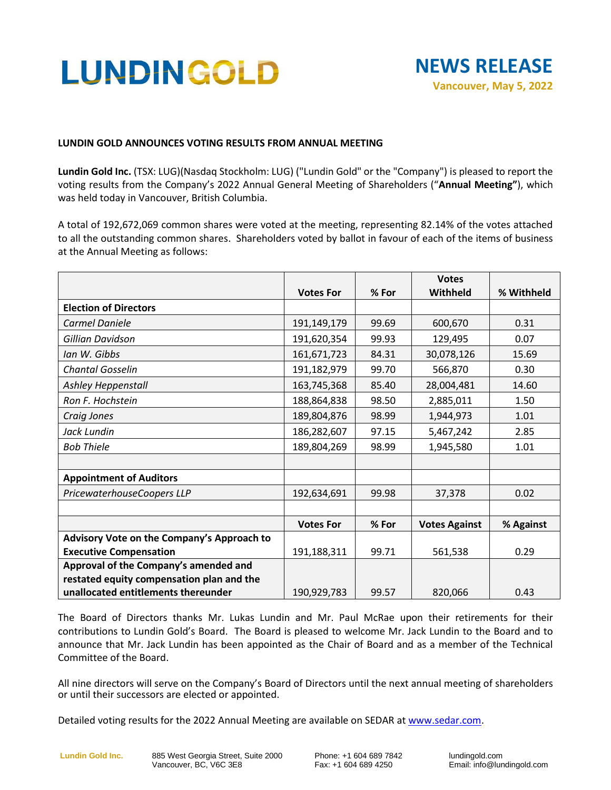# LUNDINGOLD



## **LUNDIN GOLD ANNOUNCES VOTING RESULTS FROM ANNUAL MEETING**

**Lundin Gold Inc.** (TSX: LUG)(Nasdaq Stockholm: LUG) ("Lundin Gold" or the "Company") is pleased to report the voting results from the Company's 2022 Annual General Meeting of Shareholders ("**Annual Meeting"**), which was held today in Vancouver, British Columbia.

A total of 192,672,069 common shares were voted at the meeting, representing 82.14% of the votes attached to all the outstanding common shares. Shareholders voted by ballot in favour of each of the items of business at the Annual Meeting as follows:

|                                            | <b>Votes For</b> | % For | <b>Votes</b><br>Withheld | % Withheld |
|--------------------------------------------|------------------|-------|--------------------------|------------|
| <b>Election of Directors</b>               |                  |       |                          |            |
|                                            |                  |       |                          |            |
| Carmel Daniele                             | 191,149,179      | 99.69 | 600,670                  | 0.31       |
| Gillian Davidson                           | 191,620,354      | 99.93 | 129,495                  | 0.07       |
| Ian W. Gibbs                               | 161,671,723      | 84.31 | 30,078,126               | 15.69      |
| <b>Chantal Gosselin</b>                    | 191,182,979      | 99.70 | 566,870                  | 0.30       |
| Ashley Heppenstall                         | 163,745,368      | 85.40 | 28,004,481               | 14.60      |
| Ron F. Hochstein                           | 188,864,838      | 98.50 | 2,885,011                | 1.50       |
| Craig Jones                                | 189,804,876      | 98.99 | 1,944,973                | 1.01       |
| Jack Lundin                                | 186,282,607      | 97.15 | 5,467,242                | 2.85       |
| <b>Bob Thiele</b>                          | 189,804,269      | 98.99 | 1,945,580                | 1.01       |
|                                            |                  |       |                          |            |
| <b>Appointment of Auditors</b>             |                  |       |                          |            |
| PricewaterhouseCoopers LLP                 | 192,634,691      | 99.98 | 37,378                   | 0.02       |
|                                            |                  |       |                          |            |
|                                            | <b>Votes For</b> | % For | <b>Votes Against</b>     | % Against  |
| Advisory Vote on the Company's Approach to |                  |       |                          |            |
| <b>Executive Compensation</b>              | 191,188,311      | 99.71 | 561,538                  | 0.29       |
| Approval of the Company's amended and      |                  |       |                          |            |
| restated equity compensation plan and the  |                  |       |                          |            |
| unallocated entitlements thereunder        | 190,929,783      | 99.57 | 820,066                  | 0.43       |

The Board of Directors thanks Mr. Lukas Lundin and Mr. Paul McRae upon their retirements for their contributions to Lundin Gold's Board. The Board is pleased to welcome Mr. Jack Lundin to the Board and to announce that Mr. Jack Lundin has been appointed as the Chair of Board and as a member of the Technical Committee of the Board.

All nine directors will serve on the Company's Board of Directors until the next annual meeting of shareholders or until their successors are elected or appointed.

Detailed voting results for the 2022 Annual Meeting are available on SEDAR at [www.sedar.com.](http://www.sedar.com/)